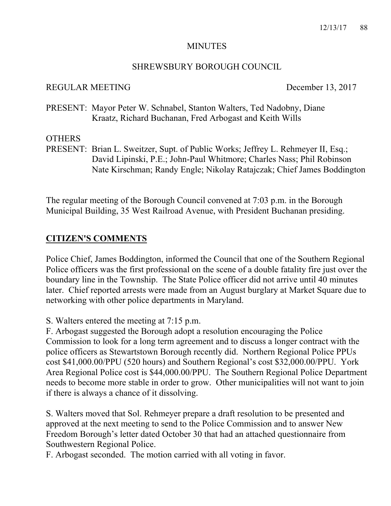#### MINUTES

#### SHREWSBURY BOROUGH COUNCIL

#### REGULAR MEETING December 13, 2017

PRESENT: Mayor Peter W. Schnabel, Stanton Walters, Ted Nadobny, Diane Kraatz, Richard Buchanan, Fred Arbogast and Keith Wills

#### **OTHERS**

PRESENT: Brian L. Sweitzer, Supt. of Public Works; Jeffrey L. Rehmeyer II, Esq.; David Lipinski, P.E.; John-Paul Whitmore; Charles Nass; Phil Robinson Nate Kirschman; Randy Engle; Nikolay Ratajczak; Chief James Boddington

The regular meeting of the Borough Council convened at 7:03 p.m. in the Borough Municipal Building, 35 West Railroad Avenue, with President Buchanan presiding.

#### **CITIZEN'S COMMENTS**

Police Chief, James Boddington, informed the Council that one of the Southern Regional Police officers was the first professional on the scene of a double fatality fire just over the boundary line in the Township. The State Police officer did not arrive until 40 minutes later. Chief reported arrests were made from an August burglary at Market Square due to networking with other police departments in Maryland.

S. Walters entered the meeting at 7:15 p.m.

F. Arbogast suggested the Borough adopt a resolution encouraging the Police Commission to look for a long term agreement and to discuss a longer contract with the police officers as Stewartstown Borough recently did. Northern Regional Police PPUs cost \$41,000.00/PPU (520 hours) and Southern Regional's cost \$32,000.00/PPU. York Area Regional Police cost is \$44,000.00/PPU. The Southern Regional Police Department needs to become more stable in order to grow. Other municipalities will not want to join if there is always a chance of it dissolving.

S. Walters moved that Sol. Rehmeyer prepare a draft resolution to be presented and approved at the next meeting to send to the Police Commission and to answer New Freedom Borough's letter dated October 30 that had an attached questionnaire from Southwestern Regional Police.

F. Arbogast seconded. The motion carried with all voting in favor.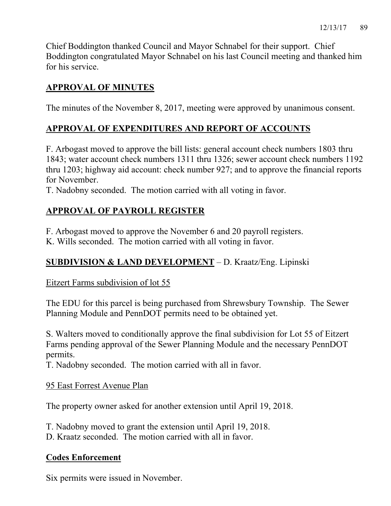Chief Boddington thanked Council and Mayor Schnabel for their support. Chief Boddington congratulated Mayor Schnabel on his last Council meeting and thanked him for his service.

# **APPROVAL OF MINUTES**

The minutes of the November 8, 2017, meeting were approved by unanimous consent.

## **APPROVAL OF EXPENDITURES AND REPORT OF ACCOUNTS**

F. Arbogast moved to approve the bill lists: general account check numbers 1803 thru 1843; water account check numbers 1311 thru 1326; sewer account check numbers 1192 thru 1203; highway aid account: check number 927; and to approve the financial reports for November.

T. Nadobny seconded. The motion carried with all voting in favor.

# **APPROVAL OF PAYROLL REGISTER**

F. Arbogast moved to approve the November 6 and 20 payroll registers.

K. Wills seconded. The motion carried with all voting in favor.

## **SUBDIVISION & LAND DEVELOPMENT** – D. Kraatz/Eng. Lipinski

### Eitzert Farms subdivision of lot 55

The EDU for this parcel is being purchased from Shrewsbury Township. The Sewer Planning Module and PennDOT permits need to be obtained yet.

S. Walters moved to conditionally approve the final subdivision for Lot 55 of Eitzert Farms pending approval of the Sewer Planning Module and the necessary PennDOT permits.

T. Nadobny seconded. The motion carried with all in favor.

### 95 East Forrest Avenue Plan

The property owner asked for another extension until April 19, 2018.

T. Nadobny moved to grant the extension until April 19, 2018.

D. Kraatz seconded. The motion carried with all in favor.

### **Codes Enforcement**

Six permits were issued in November.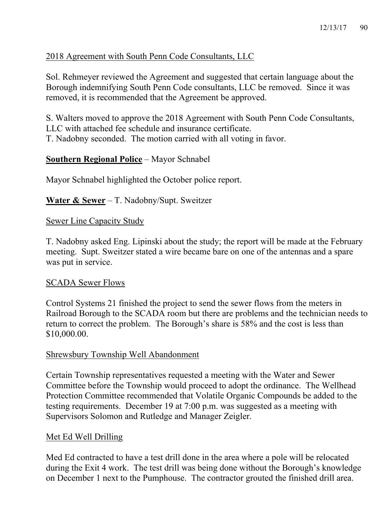## 2018 Agreement with South Penn Code Consultants, LLC

Sol. Rehmeyer reviewed the Agreement and suggested that certain language about the Borough indemnifying South Penn Code consultants, LLC be removed. Since it was removed, it is recommended that the Agreement be approved.

S. Walters moved to approve the 2018 Agreement with South Penn Code Consultants, LLC with attached fee schedule and insurance certificate. T. Nadobny seconded. The motion carried with all voting in favor.

## **Southern Regional Police** – Mayor Schnabel

Mayor Schnabel highlighted the October police report.

**Water & Sewer** – T. Nadobny/Supt. Sweitzer

### Sewer Line Capacity Study

T. Nadobny asked Eng. Lipinski about the study; the report will be made at the February meeting. Supt. Sweitzer stated a wire became bare on one of the antennas and a spare was put in service.

### SCADA Sewer Flows

Control Systems 21 finished the project to send the sewer flows from the meters in Railroad Borough to the SCADA room but there are problems and the technician needs to return to correct the problem. The Borough's share is 58% and the cost is less than \$10,000.00.

### Shrewsbury Township Well Abandonment

Certain Township representatives requested a meeting with the Water and Sewer Committee before the Township would proceed to adopt the ordinance. The Wellhead Protection Committee recommended that Volatile Organic Compounds be added to the testing requirements. December 19 at 7:00 p.m. was suggested as a meeting with Supervisors Solomon and Rutledge and Manager Zeigler.

### Met Ed Well Drilling

Med Ed contracted to have a test drill done in the area where a pole will be relocated during the Exit 4 work. The test drill was being done without the Borough's knowledge on December 1 next to the Pumphouse. The contractor grouted the finished drill area.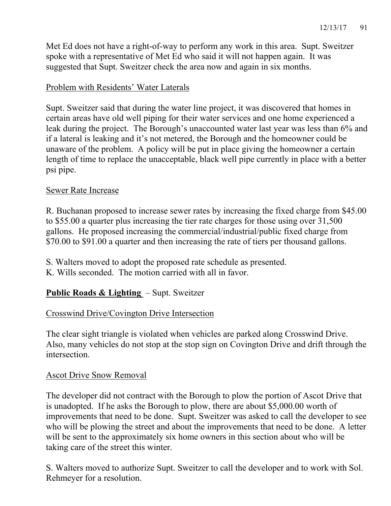Met Ed does not have a right-of-way to perform any work in this area. Supt. Sweitzer spoke with a representative of Met Ed who said it will not happen again. It was suggested that Supt. Sweitzer check the area now and again in six months.

## Problem with Residents' Water Laterals

Supt. Sweitzer said that during the water line project, it was discovered that homes in certain areas have old well piping for their water services and one home experienced a leak during the project. The Borough's unaccounted water last year was less than 6% and if a lateral is leaking and it's not metered, the Borough and the homeowner could be unaware of the problem. A policy will be put in place giving the homeowner a certain length of time to replace the unacceptable, black well pipe currently in place with a better psi pipe.

## Sewer Rate Increase

R. Buchanan proposed to increase sewer rates by increasing the fixed charge from \$45.00 to \$55.00 a quarter plus increasing the tier rate charges for those using over 31,500 gallons. He proposed increasing the commercial/industrial/public fixed charge from \$70.00 to \$91.00 a quarter and then increasing the rate of tiers per thousand gallons.

- S. Walters moved to adopt the proposed rate schedule as presented.
- K. Wills seconded. The motion carried with all in favor.

## **Public Roads & Lighting** – Supt. Sweitzer

### Crosswind Drive/Covington Drive Intersection

The clear sight triangle is violated when vehicles are parked along Crosswind Drive. Also, many vehicles do not stop at the stop sign on Covington Drive and drift through the intersection.

### Ascot Drive Snow Removal

The developer did not contract with the Borough to plow the portion of Ascot Drive that is unadopted. If he asks the Borough to plow, there are about \$5,000.00 worth of improvements that need to be done. Supt. Sweitzer was asked to call the developer to see who will be plowing the street and about the improvements that need to be done. A letter will be sent to the approximately six home owners in this section about who will be taking care of the street this winter.

S. Walters moved to authorize Supt. Sweitzer to call the developer and to work with Sol. Rehmeyer for a resolution.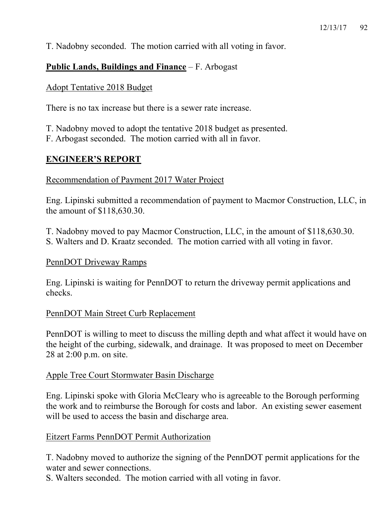T. Nadobny seconded. The motion carried with all voting in favor.

## **Public Lands, Buildings and Finance** – F. Arbogast

## Adopt Tentative 2018 Budget

There is no tax increase but there is a sewer rate increase.

T. Nadobny moved to adopt the tentative 2018 budget as presented.

F. Arbogast seconded. The motion carried with all in favor.

## **ENGINEER'S REPORT**

### Recommendation of Payment 2017 Water Project

Eng. Lipinski submitted a recommendation of payment to Macmor Construction, LLC, in the amount of \$118,630.30.

T. Nadobny moved to pay Macmor Construction, LLC, in the amount of \$118,630.30. S. Walters and D. Kraatz seconded. The motion carried with all voting in favor.

### PennDOT Driveway Ramps

Eng. Lipinski is waiting for PennDOT to return the driveway permit applications and checks.

### PennDOT Main Street Curb Replacement

PennDOT is willing to meet to discuss the milling depth and what affect it would have on the height of the curbing, sidewalk, and drainage. It was proposed to meet on December 28 at 2:00 p.m. on site.

### Apple Tree Court Stormwater Basin Discharge

Eng. Lipinski spoke with Gloria McCleary who is agreeable to the Borough performing the work and to reimburse the Borough for costs and labor. An existing sewer easement will be used to access the basin and discharge area.

### Eitzert Farms PennDOT Permit Authorization

T. Nadobny moved to authorize the signing of the PennDOT permit applications for the water and sewer connections.

S. Walters seconded. The motion carried with all voting in favor.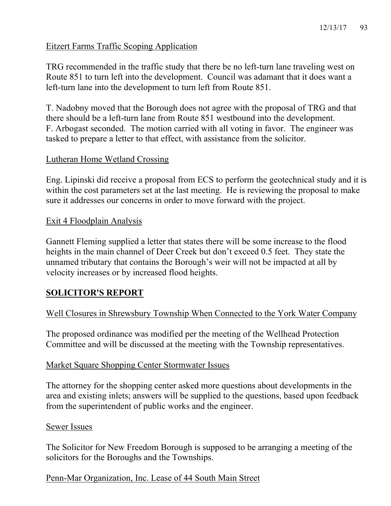### Eitzert Farms Traffic Scoping Application

TRG recommended in the traffic study that there be no left-turn lane traveling west on Route 851 to turn left into the development. Council was adamant that it does want a left-turn lane into the development to turn left from Route 851.

T. Nadobny moved that the Borough does not agree with the proposal of TRG and that there should be a left-turn lane from Route 851 westbound into the development. F. Arbogast seconded. The motion carried with all voting in favor. The engineer was tasked to prepare a letter to that effect, with assistance from the solicitor.

### Lutheran Home Wetland Crossing

Eng. Lipinski did receive a proposal from ECS to perform the geotechnical study and it is within the cost parameters set at the last meeting. He is reviewing the proposal to make sure it addresses our concerns in order to move forward with the project.

#### Exit 4 Floodplain Analysis

Gannett Fleming supplied a letter that states there will be some increase to the flood heights in the main channel of Deer Creek but don't exceed 0.5 feet. They state the unnamed tributary that contains the Borough's weir will not be impacted at all by velocity increases or by increased flood heights.

## **SOLICITOR'S REPORT**

### Well Closures in Shrewsbury Township When Connected to the York Water Company

The proposed ordinance was modified per the meeting of the Wellhead Protection Committee and will be discussed at the meeting with the Township representatives.

#### Market Square Shopping Center Stormwater Issues

The attorney for the shopping center asked more questions about developments in the area and existing inlets; answers will be supplied to the questions, based upon feedback from the superintendent of public works and the engineer.

#### Sewer Issues

The Solicitor for New Freedom Borough is supposed to be arranging a meeting of the solicitors for the Boroughs and the Townships.

### Penn-Mar Organization, Inc. Lease of 44 South Main Street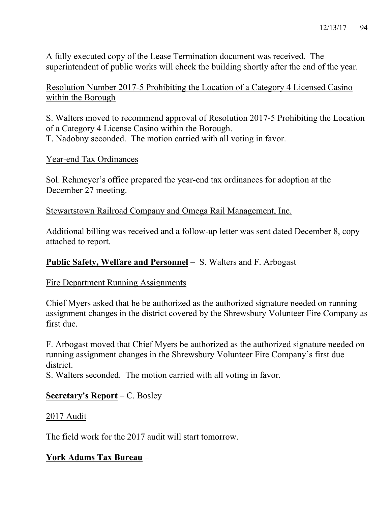A fully executed copy of the Lease Termination document was received. The superintendent of public works will check the building shortly after the end of the year.

Resolution Number 2017-5 Prohibiting the Location of a Category 4 Licensed Casino within the Borough

S. Walters moved to recommend approval of Resolution 2017-5 Prohibiting the Location of a Category 4 License Casino within the Borough. T. Nadobny seconded. The motion carried with all voting in favor.

Year-end Tax Ordinances

Sol. Rehmeyer's office prepared the year-end tax ordinances for adoption at the December 27 meeting.

Stewartstown Railroad Company and Omega Rail Management, Inc.

Additional billing was received and a follow-up letter was sent dated December 8, copy attached to report.

### **Public Safety, Welfare and Personnel** – S. Walters and F. Arbogast

### Fire Department Running Assignments

Chief Myers asked that he be authorized as the authorized signature needed on running assignment changes in the district covered by the Shrewsbury Volunteer Fire Company as first due.

F. Arbogast moved that Chief Myers be authorized as the authorized signature needed on running assignment changes in the Shrewsbury Volunteer Fire Company's first due district.

S. Walters seconded. The motion carried with all voting in favor.

### **Secretary's Report** – C. Bosley

### 2017 Audit

The field work for the 2017 audit will start tomorrow.

## **York Adams Tax Bureau** –